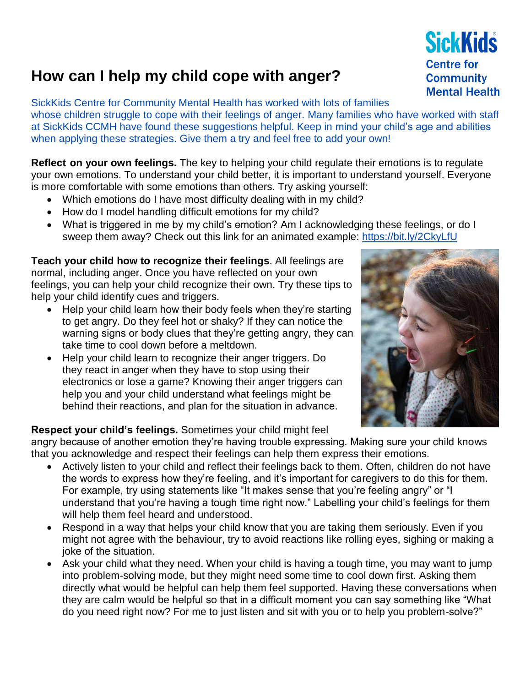## **How can I help my child cope with anger?**

SickKids Centre for Community Mental Health has worked with lots of families whose children struggle to cope with their feelings of anger. Many families who have worked with staff at SickKids CCMH have found these suggestions helpful. Keep in mind your child's age and abilities when applying these strategies. Give them a try and feel free to add your own!

**Reflect on your own feelings.** The key to helping your child regulate their emotions is to regulate your own emotions. To understand your child better, it is important to understand yourself. Everyone is more comfortable with some emotions than others. Try asking yourself:

- Which emotions do I have most difficulty dealing with in my child?
- How do I model handling difficult emotions for my child?
- What is triggered in me by my child's emotion? Am I acknowledging these feelings, or do I sweep them away? Check out this link for an animated example:<https://bit.ly/2CkyLfU>

**Teach your child how to recognize their feelings**. All feelings are normal, including anger. Once you have reflected on your own feelings, you can help your child recognize their own. Try these tips to help your child identify cues and triggers.

- Help your child learn how their body feels when they're starting to get angry. Do they feel hot or shaky? If they can notice the warning signs or body clues that they're getting angry, they can take time to cool down before a meltdown.
- Help your child learn to recognize their anger triggers. Do they react in anger when they have to stop using their electronics or lose a game? Knowing their anger triggers can help you and your child understand what feelings might be behind their reactions, and plan for the situation in advance.

## **Respect your child's feelings.** Sometimes your child might feel

angry because of another emotion they're having trouble expressing. Making sure your child knows that you acknowledge and respect their feelings can help them express their emotions.

- Actively listen to your child and reflect their feelings back to them. Often, children do not have the words to express how they're feeling, and it's important for caregivers to do this for them. For example, try using statements like "It makes sense that you're feeling angry" or "I understand that you're having a tough time right now." Labelling your child's feelings for them will help them feel heard and understood.
- Respond in a way that helps your child know that you are taking them seriously. Even if you might not agree with the behaviour, try to avoid reactions like rolling eyes, sighing or making a joke of the situation.
- Ask your child what they need. When your child is having a tough time, you may want to jump into problem-solving mode, but they might need some time to cool down first. Asking them directly what would be helpful can help them feel supported. Having these conversations when they are calm would be helpful so that in a difficult moment you can say something like "What do you need right now? For me to just listen and sit with you or to help you problem-solve?"